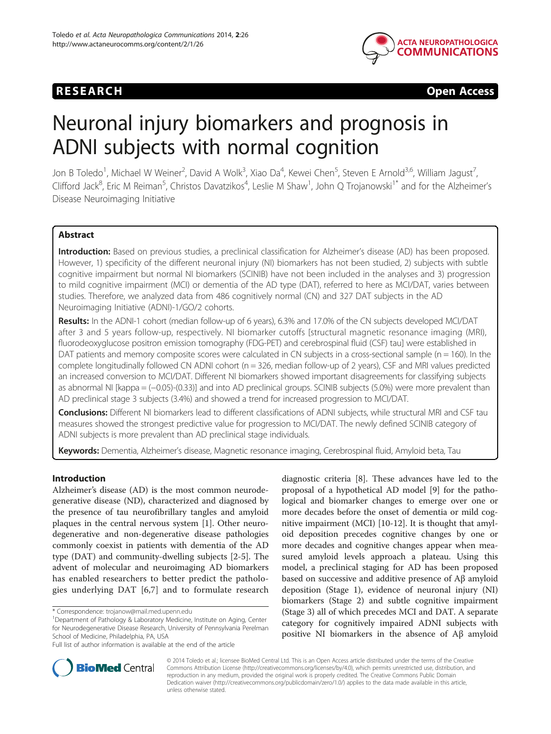

## RESEARCH **CHURCH CHURCH CHURCH CHURCH CHURCH CHURCH** CHURCH CHURCH CHURCH CHURCH CHURCH CHURCH CHURCH CHURCH CHURCH CHURCH CHURCH CHURCH CHURCH CHURCH CHURCH CHURCH CHURCH CHURCH CHURCH CHURCH CHURCH CHURCH CHURCH CHURCH C

# Neuronal injury biomarkers and prognosis in ADNI subjects with normal cognition

Jon B Toledo<sup>1</sup>, Michael W Weiner<sup>2</sup>, David A Wolk<sup>3</sup>, Xiao Da<sup>4</sup>, Kewei Chen<sup>5</sup>, Steven E Arnold<sup>3,6</sup>, William Jagust<sup>7</sup> , Clifford Jack<sup>8</sup>, Eric M Reiman<sup>5</sup>, Christos Davatzikos<sup>4</sup>, Leslie M Shaw<sup>1</sup>, John Q Trojanowski<sup>1\*</sup> and for the Alzheimer's Disease Neuroimaging Initiative

## Abstract

Introduction: Based on previous studies, a preclinical classification for Alzheimer's disease (AD) has been proposed. However, 1) specificity of the different neuronal injury (NI) biomarkers has not been studied, 2) subjects with subtle cognitive impairment but normal NI biomarkers (SCINIB) have not been included in the analyses and 3) progression to mild cognitive impairment (MCI) or dementia of the AD type (DAT), referred to here as MCI/DAT, varies between studies. Therefore, we analyzed data from 486 cognitively normal (CN) and 327 DAT subjects in the AD Neuroimaging Initiative (ADNI)-1/GO/2 cohorts.

Results: In the ADNI-1 cohort (median follow-up of 6 years), 6.3% and 17.0% of the CN subjects developed MCI/DAT after 3 and 5 years follow-up, respectively. NI biomarker cutoffs [structural magnetic resonance imaging (MRI), fluorodeoxyglucose positron emission tomography (FDG-PET) and cerebrospinal fluid (CSF) tau] were established in DAT patients and memory composite scores were calculated in CN subjects in a cross-sectional sample ( $n = 160$ ). In the complete longitudinally followed CN ADNI cohort (n = 326, median follow-up of 2 years), CSF and MRI values predicted an increased conversion to MCI/DAT. Different NI biomarkers showed important disagreements for classifying subjects as abnormal NI [kappa = (−0.05)-(0.33)] and into AD preclinical groups. SCINIB subjects (5.0%) were more prevalent than AD preclinical stage 3 subjects (3.4%) and showed a trend for increased progression to MCI/DAT.

Conclusions: Different NI biomarkers lead to different classifications of ADNI subjects, while structural MRI and CSF tau measures showed the strongest predictive value for progression to MCI/DAT. The newly defined SCINIB category of ADNI subjects is more prevalent than AD preclinical stage individuals.

Keywords: Dementia, Alzheimer's disease, Magnetic resonance imaging, Cerebrospinal fluid, Amyloid beta, Tau

## Introduction

Alzheimer's disease (AD) is the most common neurodegenerative disease (ND), characterized and diagnosed by the presence of tau neurofibrillary tangles and amyloid plaques in the central nervous system [\[1](#page-7-0)]. Other neurodegenerative and non-degenerative disease pathologies commonly coexist in patients with dementia of the AD type (DAT) and community-dwelling subjects [\[2](#page-7-0)-[5\]](#page-7-0). The advent of molecular and neuroimaging AD biomarkers has enabled researchers to better predict the pathologies underlying DAT [[6,7](#page-7-0)] and to formulate research

diagnostic criteria [\[8](#page-7-0)]. These advances have led to the proposal of a hypothetical AD model [[9\]](#page-8-0) for the pathological and biomarker changes to emerge over one or more decades before the onset of dementia or mild cognitive impairment (MCI) [[10-12](#page-8-0)]. It is thought that amyloid deposition precedes cognitive changes by one or more decades and cognitive changes appear when measured amyloid levels approach a plateau. Using this model, a preclinical staging for AD has been proposed based on successive and additive presence of Aβ amyloid deposition (Stage 1), evidence of neuronal injury (NI) biomarkers (Stage 2) and subtle cognitive impairment (Stage 3) all of which precedes MCI and DAT. A separate category for cognitively impaired ADNI subjects with positive NI biomarkers in the absence of Aβ amyloid



© 2014 Toledo et al.; licensee BioMed Central Ltd. This is an Open Access article distributed under the terms of the Creative Commons Attribution License [\(http://creativecommons.org/licenses/by/4.0\)](http://creativecommons.org/licenses/by/4.0), which permits unrestricted use, distribution, and reproduction in any medium, provided the original work is properly credited. The Creative Commons Public Domain Dedication waiver [\(http://creativecommons.org/publicdomain/zero/1.0/](http://creativecommons.org/publicdomain/zero/1.0/)) applies to the data made available in this article, unless otherwise stated.

<sup>\*</sup> Correspondence: [trojanow@mail.med.upenn.edu](mailto:trojanow@mail.med.upenn.edu) <sup>1</sup>

Department of Pathology & Laboratory Medicine, Institute on Aging, Center for Neurodegenerative Disease Research, University of Pennsylvania Perelman School of Medicine, Philadelphia, PA, USA

Full list of author information is available at the end of the article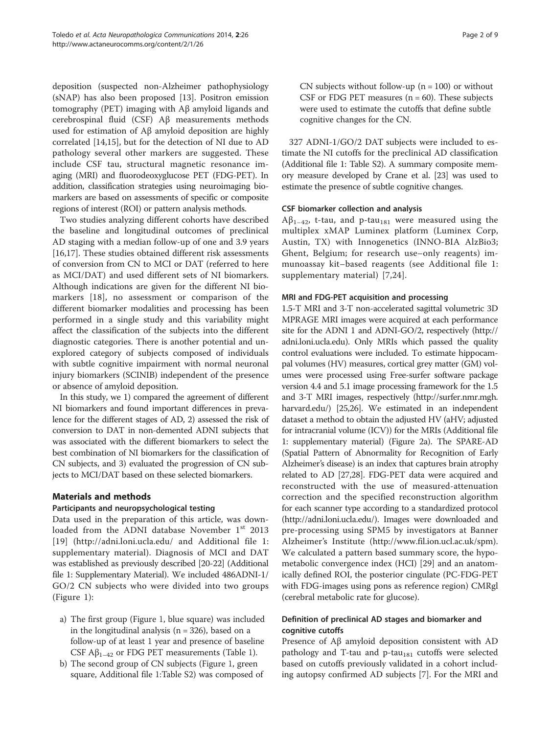deposition (suspected non-Alzheimer pathophysiology (sNAP) has also been proposed [\[13\]](#page-8-0). Positron emission tomography (PET) imaging with Aβ amyloid ligands and cerebrospinal fluid (CSF) Aβ measurements methods used for estimation of Aβ amyloid deposition are highly correlated [[14,15\]](#page-8-0), but for the detection of NI due to AD pathology several other markers are suggested. These include CSF tau, structural magnetic resonance imaging (MRI) and fluorodeoxyglucose PET (FDG-PET). In addition, classification strategies using neuroimaging biomarkers are based on assessments of specific or composite regions of interest (ROI) or pattern analysis methods.

Two studies analyzing different cohorts have described the baseline and longitudinal outcomes of preclinical AD staging with a median follow-up of one and 3.9 years [[16,17\]](#page-8-0). These studies obtained different risk assessments of conversion from CN to MCI or DAT (referred to here as MCI/DAT) and used different sets of NI biomarkers. Although indications are given for the different NI biomarkers [\[18](#page-8-0)], no assessment or comparison of the different biomarker modalities and processing has been performed in a single study and this variability might affect the classification of the subjects into the different diagnostic categories. There is another potential and unexplored category of subjects composed of individuals with subtle cognitive impairment with normal neuronal injury biomarkers (SCINIB) independent of the presence or absence of amyloid deposition.

In this study, we 1) compared the agreement of different NI biomarkers and found important differences in prevalence for the different stages of AD, 2) assessed the risk of conversion to DAT in non-demented ADNI subjects that was associated with the different biomarkers to select the best combination of NI biomarkers for the classification of CN subjects, and 3) evaluated the progression of CN subjects to MCI/DAT based on these selected biomarkers.

## Materials and methods

## Participants and neuropsychological testing

Data used in the preparation of this article, was downloaded from the ADNI database November 1st 2013 [[19](#page-8-0)] [\(http://adni.loni.ucla.edu/](http://adni.loni.ucla.edu/) and Additional file [1](#page-7-0): supplementary material). Diagnosis of MCI and DAT was established as previously described [\[20-22\]](#page-8-0) (Additional file [1](#page-7-0): Supplementary Material). We included 486ADNI-1/ GO/2 CN subjects who were divided into two groups (Figure [1\)](#page-2-0):

- a) The first group (Figure [1,](#page-2-0) blue square) was included in the longitudinal analysis ( $n = 326$ ), based on a follow-up of at least 1 year and presence of baseline CSF  $\mathsf{A}\beta_{1-42}$  $\mathsf{A}\beta_{1-42}$  $\mathsf{A}\beta_{1-42}$  or FDG PET measurements (Table 1).
- b) The second group of CN subjects (Figure [1](#page-2-0), green square, Additional file [1:](#page-7-0)Table S2) was composed of

CN subjects without follow-up ( $n = 100$ ) or without CSF or FDG PET measures  $(n = 60)$ . These subjects were used to estimate the cutoffs that define subtle cognitive changes for the CN.

327 ADNI-1/GO/2 DAT subjects were included to estimate the NI cutoffs for the preclinical AD classification (Additional file [1:](#page-7-0) Table S2). A summary composite memory measure developed by Crane et al. [\[23\]](#page-8-0) was used to estimate the presence of subtle cognitive changes.

#### CSF biomarker collection and analysis

 $A\beta_{1-42}$ , t-tau, and p-tau<sub>181</sub> were measured using the multiplex xMAP Luminex platform (Luminex Corp, Austin, TX) with Innogenetics (INNO-BIA AlzBio3; Ghent, Belgium; for research use–only reagents) immunoassay kit–based reagents (see Additional file [1](#page-7-0): supplementary material) [[7,](#page-7-0)[24](#page-8-0)].

#### MRI and FDG-PET acquisition and processing

1.5-T MRI and 3-T non-accelerated sagittal volumetric 3D MPRAGE MRI images were acquired at each performance site for the ADNI 1 and ADNI-GO/2, respectively [\(http://](http://adni.loni.ucla.edu) [adni.loni.ucla.edu](http://adni.loni.ucla.edu)). Only MRIs which passed the quality control evaluations were included. To estimate hippocampal volumes (HV) measures, cortical grey matter (GM) volumes were processed using Free-surfer software package version 4.4 and 5.1 image processing framework for the 1.5 and 3-T MRI images, respectively ([http://surfer.nmr.mgh.](http://surfer.nmr.mgh.harvard.edu/) [harvard.edu/](http://surfer.nmr.mgh.harvard.edu/)) [[25,26\]](#page-8-0). We estimated in an independent dataset a method to obtain the adjusted HV (aHV; adjusted for intracranial volume (ICV)) for the MRIs (Additional file [1](#page-7-0): supplementary material) (Figure [2](#page-3-0)a). The SPARE-AD (Spatial Pattern of Abnormality for Recognition of Early Alzheimer's disease) is an index that captures brain atrophy related to AD [[27,28\]](#page-8-0). FDG-PET data were acquired and reconstructed with the use of measured-attenuation correction and the specified reconstruction algorithm for each scanner type according to a standardized protocol ([http://adni.loni.ucla.edu/\)](http://adni.loni.ucla.edu/). Images were downloaded and pre-processing using SPM5 by investigators at Banner Alzheimer's Institute (<http://www.fil.ion.ucl.ac.uk/spm>). We calculated a pattern based summary score, the hypometabolic convergence index (HCI) [\[29\]](#page-8-0) and an anatomically defined ROI, the posterior cingulate (PC-FDG-PET with FDG-images using pons as reference region) CMRgl (cerebral metabolic rate for glucose).

## Definition of preclinical AD stages and biomarker and cognitive cutoffs

Presence of Aβ amyloid deposition consistent with AD pathology and T-tau and  $p$ -tau<sub>181</sub> cutoffs were selected based on cutoffs previously validated in a cohort including autopsy confirmed AD subjects [[7\]](#page-7-0). For the MRI and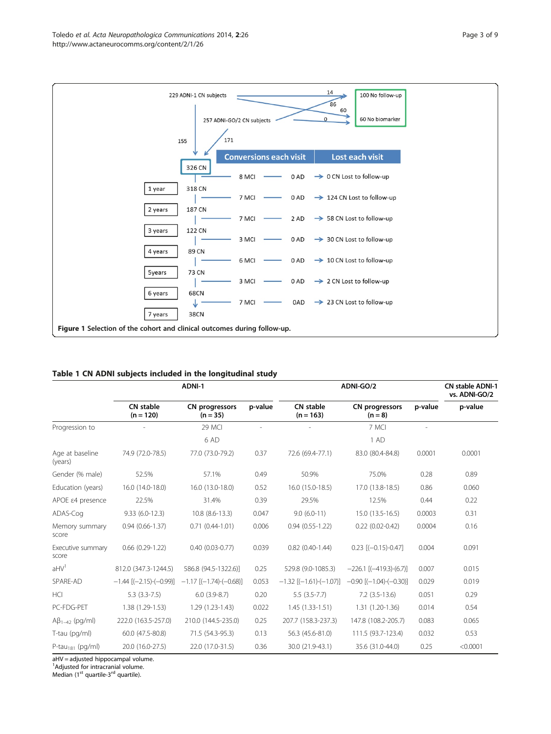<span id="page-2-0"></span>

#### Table 1 CN ADNI subjects included in the longitudinal study

|                               |                                 | ADNI-1<br>ADNI-GO/2          |         |                                  |                                    | <b>CN stable ADNI-1</b><br>vs. ADNI-GO/2 |          |
|-------------------------------|---------------------------------|------------------------------|---------|----------------------------------|------------------------------------|------------------------------------------|----------|
|                               | <b>CN</b> stable<br>$(n = 120)$ | CN progressors<br>$(n = 35)$ | p-value | CN stable<br>$(n = 163)$         | <b>CN</b> progressors<br>$(n = 8)$ | p-value                                  | p-value  |
| Progression to                |                                 | 29 MCI                       |         |                                  | 7 MCI                              |                                          |          |
|                               |                                 | 6 AD                         |         |                                  | 1 AD                               |                                          |          |
| Age at baseline<br>(years)    | 74.9 (72.0-78.5)                | 77.0 (73.0-79.2)             | 0.37    | 72.6 (69.4-77.1)                 | 83.0 (80.4-84.8)                   | 0.0001                                   | 0.0001   |
| Gender (% male)               | 52.5%                           | 57.1%                        | 0.49    | 50.9%                            | 75.0%                              | 0.28                                     | 0.89     |
| Education (years)             | 16.0 (14.0-18.0)                | 16.0 (13.0-18.0)             | 0.52    | 16.0 (15.0-18.5)                 | 17.0 (13.8-18.5)                   | 0.86                                     | 0.060    |
| APOE $\varepsilon$ 4 presence | 22.5%                           | 31.4%                        | 0.39    | 29.5%                            | 12.5%                              | 0.44                                     | 0.22     |
| ADAS-Cog                      | $9.33(6.0-12.3)$                | 10.8 (8.6-13.3)              | 0.047   | $9.0(6.0-11)$                    | 15.0 (13.5-16.5)                   | 0.0003                                   | 0.31     |
| Memory summary<br>score       | $0.94(0.66 - 1.37)$             | $0.71(0.44 - 1.01)$          | 0.006   | $0.94(0.55-1.22)$                | $0.22(0.02 - 0.42)$                | 0.0004                                   | 0.16     |
| Executive summary<br>score    | $0.66$ $(0.29-1.22)$            | $0.40(0.03 - 0.77)$          | 0.039   | $0.82$ (0.40-1.44)               | $0.23$ $[(-0.15)-0.47]$            | 0.004                                    | 0.091    |
| aHV <sup>1</sup>              | 812.0 (347.3-1244.5)            | 586.8 (94.5-1322.6)]         | 0.25    | 529.8 (9.0-1085.3)               | $-226.1$ [( $-419.3$ ) $-(6.7)$ ]  | 0.007                                    | 0.015    |
| SPARE-AD                      | $-1.44$ [(-2.15)-(-0.99)]       | $-1.17$ [(-1.74)-(-0.68)]    | 0.053   | $-1.32$ [ $(-1.61)$ $-(-1.07)$ ] | $-0.90$ $[(-1.04)$ - $(-0.30)]$    | 0.029                                    | 0.019    |
| HCI                           | $5.3(3.3-7.5)$                  | $6.0$ (3.9-8.7)              | 0.20    | $5.5(3.5-7.7)$                   | $7.2$ $(3.5-13.6)$                 | 0.051                                    | 0.29     |
| PC-FDG-PET                    | 1.38 (1.29-1.53)                | $1.29(1.23-1.43)$            | 0.022   | $1.45(1.33-1.51)$                | 1.31 (1.20-1.36)                   | 0.014                                    | 0.54     |
| $A\beta_{1-42}$ (pg/ml)       | 222.0 (163.5-257.0)             | 210.0 (144.5-235.0)          | 0.25    | 207.7 (158.3-237.3)              | 147.8 (108.2-205.7)                | 0.083                                    | 0.065    |
| T-tau (pg/ml)                 | 60.0 (47.5-80.8)                | 71.5 (54.3-95.3)             | 0.13    | 56.3 (45.6-81.0)                 | 111.5 (93.7-123.4)                 | 0.032                                    | 0.53     |
| P-tau <sub>181</sub> (pg/ml)  | 20.0 (16.0-27.5)                | 22.0 (17.0-31.5)             | 0.36    | 30.0 (21.9-43.1)                 | 35.6 (31.0-44.0)                   | 0.25                                     | < 0.0001 |

aHV = adjusted hippocampal volume.

<sup>1</sup>Adjusted for intracranial volume.<br>Median (1<sup>st</sup> quartile-3<sup>rd</sup> quartile).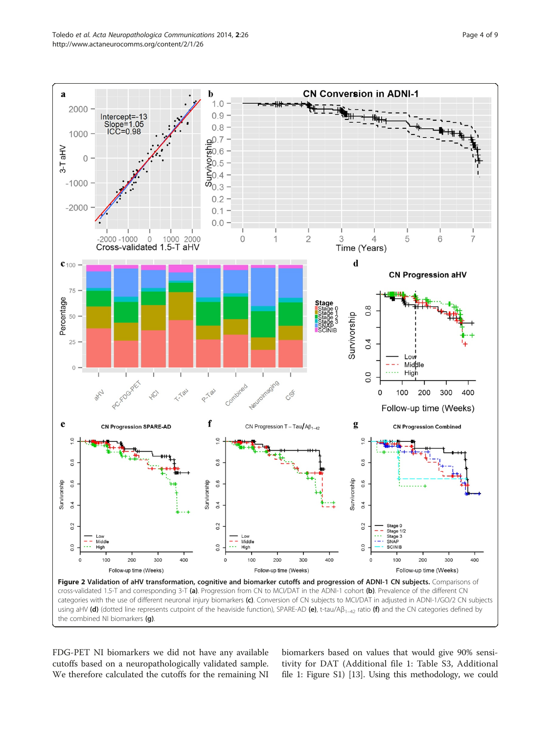<span id="page-3-0"></span>

the combined NI biomarkers (g).

FDG-PET NI biomarkers we did not have any available cutoffs based on a neuropathologically validated sample. We therefore calculated the cutoffs for the remaining NI

biomarkers based on values that would give 90% sensitivity for DAT (Additional file [1](#page-7-0): Table S3, Additional file [1](#page-7-0): Figure S1) [\[13\]](#page-8-0). Using this methodology, we could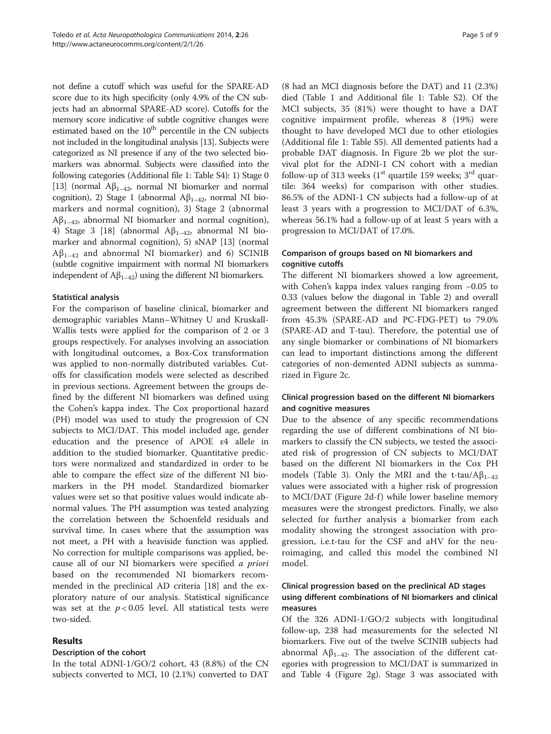not define a cutoff which was useful for the SPARE-AD score due to its high specificity (only 4.9% of the CN subjects had an abnormal SPARE-AD score). Cutoffs for the memory score indicative of subtle cognitive changes were estimated based on the 10<sup>th</sup> percentile in the CN subjects not included in the longitudinal analysis [\[13\]](#page-8-0). Subjects were categorized as NI presence if any of the two selected biomarkers was abnormal. Subjects were classified into the following categories (Additional file [1:](#page-7-0) Table S4): 1) Stage 0 [[13](#page-8-0)] (normal  $A\beta_{1-42}$ , normal NI biomarker and normal cognition), 2) Stage 1 (abnormal  $\mathcal{A}\beta_{1-42}$ , normal NI biomarkers and normal cognition), 3) Stage 2 (abnormal  $A\beta_{1-42}$ , abnormal NI biomarker and normal cognition), 4) Stage 3 [[18](#page-8-0)] (abnormal  $\mathcal{A}\beta_{1-42}$ , abnormal NI biomarker and abnormal cognition), 5) sNAP [\[13](#page-8-0)] (normal  $A\beta_{1-42}$  and abnormal NI biomarker) and 6) SCINIB (subtle cognitive impairment with normal NI biomarkers independent of  $A\beta_{1-42}$ ) using the different NI biomarkers.

## Statistical analysis

For the comparison of baseline clinical, biomarker and demographic variables Mann–Whitney U and Kruskall-Wallis tests were applied for the comparison of 2 or 3 groups respectively. For analyses involving an association with longitudinal outcomes, a Box-Cox transformation was applied to non-normally distributed variables. Cutoffs for classification models were selected as described in previous sections. Agreement between the groups defined by the different NI biomarkers was defined using the Cohen's kappa index. The Cox proportional hazard (PH) model was used to study the progression of CN subjects to MCI/DAT. This model included age, gender education and the presence of APOE ε4 allele in addition to the studied biomarker. Quantitative predictors were normalized and standardized in order to be able to compare the effect size of the different NI biomarkers in the PH model. Standardized biomarker values were set so that positive values would indicate abnormal values. The PH assumption was tested analyzing the correlation between the Schoenfeld residuals and survival time. In cases where that the assumption was not meet, a PH with a heaviside function was applied. No correction for multiple comparisons was applied, because all of our NI biomarkers were specified *a priori* based on the recommended NI biomarkers recommended in the preclinical AD criteria [\[18](#page-8-0)] and the exploratory nature of our analysis. Statistical significance was set at the  $p < 0.05$  level. All statistical tests were two-sided.

## Results

## Description of the cohort

In the total ADNI-1/GO/2 cohort, 43 (8.8%) of the CN subjects converted to MCI, 10 (2.1%) converted to DAT

(8 had an MCI diagnosis before the DAT) and 11 (2.3%) died (Table [1](#page-2-0) and Additional file [1:](#page-7-0) Table S2). Of the MCI subjects, 35 (81%) were thought to have a DAT cognitive impairment profile, whereas 8 (19%) were thought to have developed MCI due to other etiologies (Additional file [1](#page-7-0): Table S5). All demented patients had a probable DAT diagnosis. In Figure [2](#page-3-0)b we plot the survival plot for the ADNI-1 CN cohort with a median follow-up of 313 weeks  $(1<sup>st</sup>$  quartile 159 weeks; 3<sup>rd</sup> quartile: 364 weeks) for comparison with other studies. 86.5% of the ADNI-1 CN subjects had a follow-up of at least 3 years with a progression to MCI/DAT of 6.3%, whereas 56.1% had a follow-up of at least 5 years with a progression to MCI/DAT of 17.0%.

## Comparison of groups based on NI biomarkers and cognitive cutoffs

The different NI biomarkers showed a low agreement, with Cohen's kappa index values ranging from −0.05 to 0.33 (values below the diagonal in Table [2\)](#page-5-0) and overall agreement between the different NI biomarkers ranged from 45.3% (SPARE-AD and PC-FDG-PET) to 79.0% (SPARE-AD and T-tau). Therefore, the potential use of any single biomarker or combinations of NI biomarkers can lead to important distinctions among the different categories of non-demented ADNI subjects as summarized in Figure [2](#page-3-0)c.

## Clinical progression based on the different NI biomarkers and cognitive measures

Due to the absence of any specific recommendations regarding the use of different combinations of NI biomarkers to classify the CN subjects, we tested the associated risk of progression of CN subjects to MCI/DAT based on the different NI biomarkers in the Cox PH models (Table [3](#page-5-0)). Only the MRI and the t-tau/ $A\beta_{1-42}$ values were associated with a higher risk of progression to MCI/DAT (Figure [2d](#page-3-0)-f) while lower baseline memory measures were the strongest predictors. Finally, we also selected for further analysis a biomarker from each modality showing the strongest association with progression, i.e.t-tau for the CSF and aHV for the neuroimaging, and called this model the combined NI model.

## Clinical progression based on the preclinical AD stages using different combinations of NI biomarkers and clinical measures

Of the 326 ADNI-1/GO/2 subjects with longitudinal follow-up, 238 had measurements for the selected NI biomarkers. Five out of the twelve SCINIB subjects had abnormal  $Aβ_{1-42}$ . The association of the different categories with progression to MCI/DAT is summarized in and Table [4](#page-6-0) (Figure [2](#page-3-0)g). Stage 3 was associated with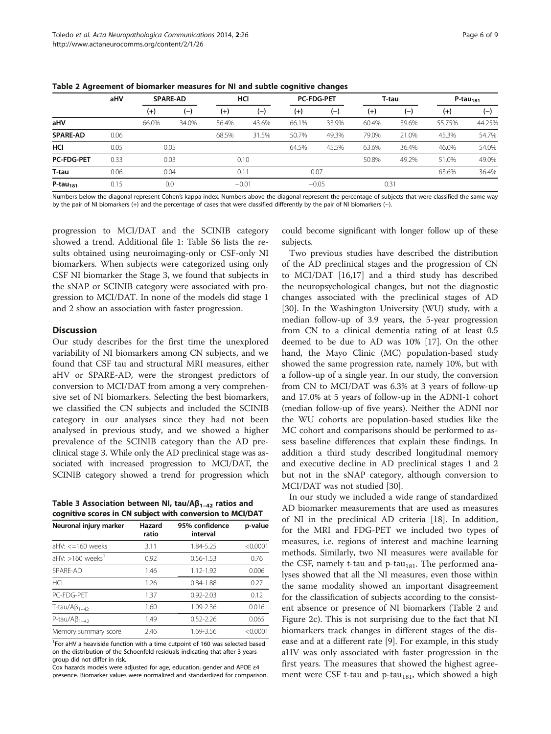|                         | aHV  |       | <b>SPARE-AD</b> |       | HCI     |          | <b>PC-FDG-PET</b> |       | T-tau |        | P-tau <sub>181</sub> |
|-------------------------|------|-------|-----------------|-------|---------|----------|-------------------|-------|-------|--------|----------------------|
|                         |      | $(+)$ | $(-)$           | $(+)$ | $(-)$   | $^{(+)}$ | (–)               | $(+)$ | $(-)$ | $(+)$  | $(-)$                |
| aHV                     |      | 66.0% | 34.0%           | 56.4% | 43.6%   | 66.1%    | 33.9%             | 60.4% | 39.6% | 55.75% | 44.25%               |
| <b>SPARE-AD</b>         | 0.06 |       |                 | 68.5% | 31.5%   | 50.7%    | 49.3%             | 79.0% | 21.0% | 45.3%  | 54.7%                |
| HCI                     | 0.05 |       | 0.05            |       |         | 64.5%    | 45.5%             | 63.6% | 36.4% | 46.0%  | 54.0%                |
| <b>PC-FDG-PET</b>       | 0.33 |       | 0.03            |       | 0.10    |          |                   | 50.8% | 49.2% | 51.0%  | 49.0%                |
| T-tau                   | 0.06 |       | 0.04            |       | 0.11    |          | 0.07              |       |       | 63.6%  | 36.4%                |
| $P$ -tau <sub>181</sub> | 0.15 |       | 0.0             |       | $-0.01$ |          | $-0.05$           |       | 0.31  |        |                      |

<span id="page-5-0"></span>Table 2 Agreement of biomarker measures for NI and subtle cognitive changes

Numbers below the diagonal represent Cohen's kappa index. Numbers above the diagonal represent the percentage of subjects that were classified the same way by the pair of NI biomarkers (+) and the percentage of cases that were classified differently by the pair of NI biomarkers (−).

progression to MCI/DAT and the SCINIB category showed a trend. Additional file [1](#page-7-0): Table S6 lists the results obtained using neuroimaging-only or CSF-only NI biomarkers. When subjects were categorized using only CSF NI biomarker the Stage 3, we found that subjects in the sNAP or SCINIB category were associated with progression to MCI/DAT. In none of the models did stage 1 and 2 show an association with faster progression.

#### **Discussion**

Our study describes for the first time the unexplored variability of NI biomarkers among CN subjects, and we found that CSF tau and structural MRI measures, either aHV or SPARE-AD, were the strongest predictors of conversion to MCI/DAT from among a very comprehensive set of NI biomarkers. Selecting the best biomarkers, we classified the CN subjects and included the SCINIB category in our analyses since they had not been analysed in previous study, and we showed a higher prevalence of the SCINIB category than the AD preclinical stage 3. While only the AD preclinical stage was associated with increased progression to MCI/DAT, the SCINIB category showed a trend for progression which

Table 3 Association between NI, tau/A $\beta_{1-42}$  ratios and cognitive scores in CN subject with conversion to MCI/DAT

| Neuronal injury marker         | Hazard<br>ratio | 95% confidence<br>interval | p-value  |
|--------------------------------|-----------------|----------------------------|----------|
| $aHV: < = 160$ weeks           | 3.11            | 1.84-5.25                  | < 0.0001 |
| aHV: $>160$ weeks <sup>1</sup> | 0.92            | $0.56 - 1.53$              | 0.76     |
| SPARF-AD                       | 1.46            | 1.12-1.92                  | 0.006    |
| HCI                            | 1.26            | $0.84 - 1.88$              | 0.27     |
| PC-FDG-PFT                     | 1.37            | $0.92 - 2.03$              | 0.12     |
| T-tau/A $\beta_{1-42}$         | 1.60            | 1.09-2.36                  | 0.016    |
| P-tau/ $A\beta_{1-42}$         | 1.49            | $0.52 - 2.26$              | 0.065    |
| Memory summary score           | 2.46            | 1.69-3.56                  | < 0.0001 |

<sup>1</sup>For aHV a heaviside function with a time cutpoint of 160 was selected based on the distribution of the Schoenfeld residuals indicating that after 3 years group did not differ in risk.

Cox hazards models were adjusted for age, education, gender and APOE ε4 presence. Biomarker values were normalized and standardized for comparison. could become significant with longer follow up of these subjects.

Two previous studies have described the distribution of the AD preclinical stages and the progression of CN to MCI/DAT [\[16,17\]](#page-8-0) and a third study has described the neuropsychological changes, but not the diagnostic changes associated with the preclinical stages of AD [[30\]](#page-8-0). In the Washington University (WU) study, with a median follow-up of 3.9 years, the 5-year progression from CN to a clinical dementia rating of at least 0.5 deemed to be due to AD was 10% [\[17](#page-8-0)]. On the other hand, the Mayo Clinic (MC) population-based study showed the same progression rate, namely 10%, but with a follow-up of a single year. In our study, the conversion from CN to MCI/DAT was 6.3% at 3 years of follow-up and 17.0% at 5 years of follow-up in the ADNI-1 cohort (median follow-up of five years). Neither the ADNI nor the WU cohorts are population-based studies like the MC cohort and comparisons should be performed to assess baseline differences that explain these findings. In addition a third study described longitudinal memory and executive decline in AD preclinical stages 1 and 2 but not in the sNAP category, although conversion to MCI/DAT was not studied [[30\]](#page-8-0).

In our study we included a wide range of standardized AD biomarker measurements that are used as measures of NI in the preclinical AD criteria [[18](#page-8-0)]. In addition, for the MRI and FDG-PET we included two types of measures, i.e. regions of interest and machine learning methods. Similarly, two NI measures were available for the CSF, namely t-tau and  $p$ -tau<sub>181</sub>. The performed analyses showed that all the NI measures, even those within the same modality showed an important disagreement for the classification of subjects according to the consistent absence or presence of NI biomarkers (Table 2 and Figure [2c](#page-3-0)). This is not surprising due to the fact that NI biomarkers track changes in different stages of the disease and at a different rate [\[9](#page-8-0)]. For example, in this study aHV was only associated with faster progression in the first years. The measures that showed the highest agreement were CSF t-tau and p-tau<sub>181</sub>, which showed a high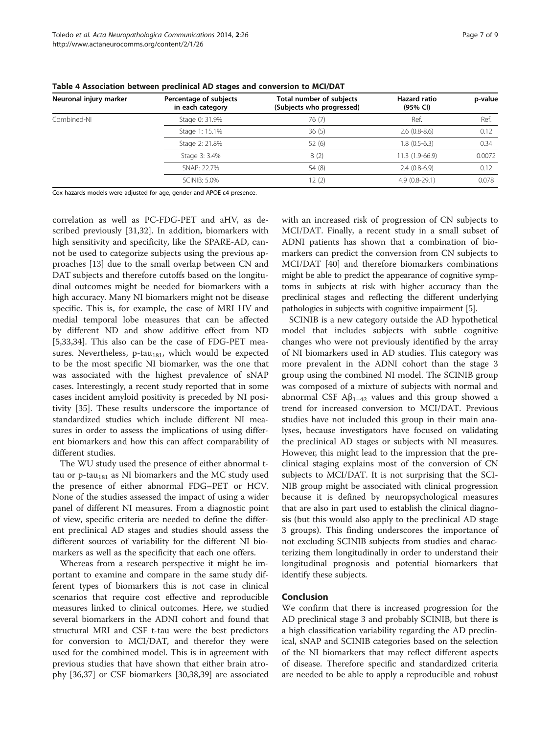| Neuronal injury marker | Percentage of subjects<br>in each category | Total number of subjects<br>(Subjects who progressed) | <b>Hazard ratio</b><br>(95% CI) | p-value |
|------------------------|--------------------------------------------|-------------------------------------------------------|---------------------------------|---------|
| Combined-NL            | Stage 0: 31.9%                             | 76 (7)                                                | Ref.                            | Ref.    |
|                        | Stage 1: 15.1%                             | 36(5)                                                 | $2.6(0.8-8.6)$                  | 0.12    |
|                        | Stage 2: 21.8%                             | 52(6)                                                 | $.8(0.5-6.3)$                   | 0.34    |
|                        | Stage 3: 3.4%                              | 8(2)                                                  | 11.3 (1.9-66.9)                 | 0.0072  |
|                        | SNAP: 22.7%                                | 54 (8)                                                | $2.4(0.8-6.9)$                  | 0.12    |
|                        | <b>SCINIB: 5.0%</b>                        | 12(2)                                                 | $4.9(0.8-29.1)$                 | 0.078   |

<span id="page-6-0"></span>Table 4 Association between preclinical AD stages and conversion to MCI/DAT

Cox hazards models were adjusted for age, gender and APOE ε4 presence.

correlation as well as PC-FDG-PET and aHV, as described previously [[31,32\]](#page-8-0). In addition, biomarkers with high sensitivity and specificity, like the SPARE-AD, cannot be used to categorize subjects using the previous approaches [[13](#page-8-0)] due to the small overlap between CN and DAT subjects and therefore cutoffs based on the longitudinal outcomes might be needed for biomarkers with a high accuracy. Many NI biomarkers might not be disease specific. This is, for example, the case of MRI HV and medial temporal lobe measures that can be affected by different ND and show additive effect from ND [[5,](#page-7-0)[33,34\]](#page-8-0). This also can be the case of FDG-PET measures. Nevertheless,  $p$ -tau<sub>181</sub>, which would be expected to be the most specific NI biomarker, was the one that was associated with the highest prevalence of sNAP cases. Interestingly, a recent study reported that in some cases incident amyloid positivity is preceded by NI positivity [[35\]](#page-8-0). These results underscore the importance of standardized studies which include different NI measures in order to assess the implications of using different biomarkers and how this can affect comparability of different studies.

The WU study used the presence of either abnormal ttau or p-tau $_{181}$  as NI biomarkers and the MC study used the presence of either abnormal FDG–PET or HCV. None of the studies assessed the impact of using a wider panel of different NI measures. From a diagnostic point of view, specific criteria are needed to define the different preclinical AD stages and studies should assess the different sources of variability for the different NI biomarkers as well as the specificity that each one offers.

Whereas from a research perspective it might be important to examine and compare in the same study different types of biomarkers this is not case in clinical scenarios that require cost effective and reproducible measures linked to clinical outcomes. Here, we studied several biomarkers in the ADNI cohort and found that structural MRI and CSF t-tau were the best predictors for conversion to MCI/DAT, and therefor they were used for the combined model. This is in agreement with previous studies that have shown that either brain atrophy [\[36,37](#page-8-0)] or CSF biomarkers [[30](#page-8-0),[38](#page-8-0),[39](#page-8-0)] are associated

with an increased risk of progression of CN subjects to MCI/DAT. Finally, a recent study in a small subset of ADNI patients has shown that a combination of biomarkers can predict the conversion from CN subjects to MCI/DAT [[40\]](#page-8-0) and therefore biomarkers combinations might be able to predict the appearance of cognitive symptoms in subjects at risk with higher accuracy than the preclinical stages and reflecting the different underlying pathologies in subjects with cognitive impairment [\[5](#page-7-0)].

SCINIB is a new category outside the AD hypothetical model that includes subjects with subtle cognitive changes who were not previously identified by the array of NI biomarkers used in AD studies. This category was more prevalent in the ADNI cohort than the stage 3 group using the combined NI model. The SCINIB group was composed of a mixture of subjects with normal and abnormal CSF  $A\beta_{1-42}$  values and this group showed a trend for increased conversion to MCI/DAT. Previous studies have not included this group in their main analyses, because investigators have focused on validating the preclinical AD stages or subjects with NI measures. However, this might lead to the impression that the preclinical staging explains most of the conversion of CN subjects to MCI/DAT. It is not surprising that the SCI-NIB group might be associated with clinical progression because it is defined by neuropsychological measures that are also in part used to establish the clinical diagnosis (but this would also apply to the preclinical AD stage 3 groups). This finding underscores the importance of not excluding SCINIB subjects from studies and characterizing them longitudinally in order to understand their longitudinal prognosis and potential biomarkers that identify these subjects.

#### Conclusion

We confirm that there is increased progression for the AD preclinical stage 3 and probably SCINIB, but there is a high classification variability regarding the AD preclinical, sNAP and SCINIB categories based on the selection of the NI biomarkers that may reflect different aspects of disease. Therefore specific and standardized criteria are needed to be able to apply a reproducible and robust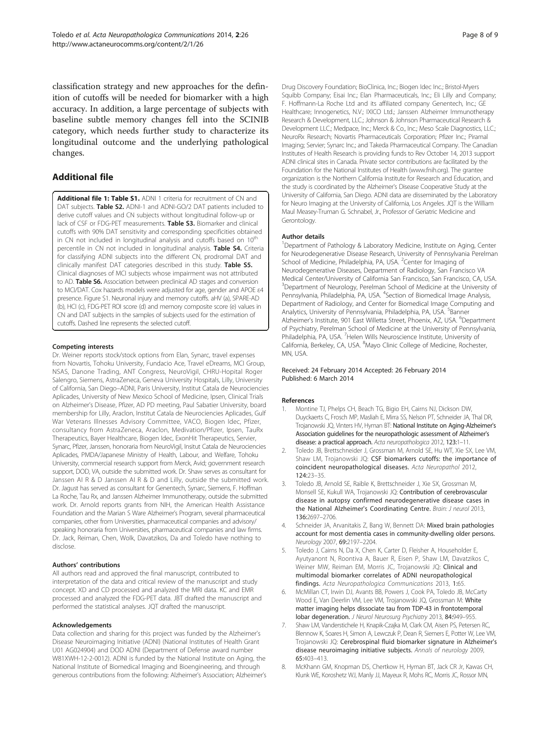<span id="page-7-0"></span>classification strategy and new approaches for the definition of cutoffs will be needed for biomarker with a high accuracy. In addition, a large percentage of subjects with baseline subtle memory changes fell into the SCINIB category, which needs further study to characterize its longitudinal outcome and the underlying pathological changes.

## Additional file

[Additional file 1: Table S1.](http://www.biomedcentral.com/content/supplementary/2051-5960-2-26-S1.docx) ADNI 1 criteria for recruitment of CN and DAT subjects. Table S2. ADNI-1 and ADNI-GO/2 DAT patients included to derive cutoff values and CN subjects without longitudinal follow-up or lack of CSF or FDG-PET measurements. Table S3. Biomarker and clinical cutoffs with 90% DAT sensitivity and corresponding specificities obtained in CN not included in longitudinal analysis and cutoffs based on  $10<sup>t</sup>$ percentile in CN not included in longitudinal analysis. Table S4. Criteria for classifying ADNI subjects into the different CN, prodromal DAT and clinically manifest DAT categories described in this study. Table S5. Clinical diagnoses of MCI subjects whose impairment was not attributed to AD. Table S6. Association between preclinical AD stages and conversion to MCI/DAT. Cox hazards models were adjusted for age, gender and APOE ε4 presence. Figure S1. Neuronal injury and memory cutoffs. aHV (a), SPARE-AD (b), HCI (c), FDG-PET ROI score (d) and memory composite score (e) values in CN and DAT subjects in the samples of subjects used for the estimation of cutoffs. Dashed line represents the selected cutoff.

#### Competing interests

Dr. Weiner reports stock/stock options from Elan, Synarc, travel expenses from Novartis, Tohoku University, Fundacio Ace, Travel eDreams, MCI Group, NSAS, Danone Trading, ANT Congress, NeuroVigil, CHRU-Hopital Roger Salengro, Siemens, AstraZeneca, Geneva University Hospitals, Lilly, University of California, San Diego–ADNI, Paris University, Institut Catala de Neurociencies Aplicades, University of New Mexico School of Medicine, Ipsen, Clinical Trials on Alzheimer's Disease, Pfizer, AD PD meeting, Paul Sabatier University, board membership for Lilly, Araclon, Institut Catala de Neurociencies Aplicades, Gulf War Veterans Illnesses Advisory Committee, VACO, Biogen Idec, Pfizer, consultancy from AstraZeneca, Araclon, Medivation/Pfizer, Ipsen, TauRx Therapeutics, Bayer Healthcare, Biogen Idec, ExonHit Therapeutics, Servier, Synarc, Pfizer, Janssen, honoraria from NeuroVigil, Insitut Catala de Neurociencies Aplicades, PMDA/Japanese Ministry of Health, Labour, and Welfare, Tohoku University, commercial research support from Merck, Avid; government research support, DOD, VA, outside the submitted work. Dr. Shaw serves as consultant for Janssen AI R & D Janssen AI R & D and Lilly, outside the submitted work. Dr. Jagust has served as consultant for Genentech, Synarc, Siemens, F. Hoffman La Roche, Tau Rx, and Janssen Alzheimer Immunotherapy, outside the submitted work. Dr. Arnold reports grants from NIH, the American Health Assistance Foundation and the Marian S Ware Alzheimer's Program, several pharmaceutical companies, other from Universities, pharmaceutical companies and advisory/ speaking honoraria from Universities, pharmaceutical companies and law firms. Dr. Jack, Reiman, Chen, Wolk, Davatzikos, Da and Toledo have nothing to disclose.

#### Authors' contributions

All authors read and approved the final manuscript, contributed to interpretation of the data and critical review of the manuscript and study concept. XD and CD processed and analyzed the MRI data. KC and EMR processed and analyzed the FDG-PET data. JBT drafted the manuscript and performed the statistical analyses. JQT drafted the manuscript.

#### Acknowledgements

Data collection and sharing for this project was funded by the Alzheimer's Disease Neuroimaging Initiative (ADNI) (National Institutes of Health Grant U01 AG024904) and DOD ADNI (Department of Defense award number W81XWH-12-2-0012). ADNI is funded by the National Institute on Aging, the National Institute of Biomedical Imaging and Bioengineering, and through generous contributions from the following: Alzheimer's Association; Alzheimer's

Drug Discovery Foundation; BioClinica, Inc.; Biogen Idec Inc.; Bristol-Myers Squibb Company; Eisai Inc.; Elan Pharmaceuticals, Inc.; Eli Lilly and Company; F. Hoffmann-La Roche Ltd and its affiliated company Genentech, Inc.; GE Healthcare; Innogenetics, N.V.; IXICO Ltd.; Janssen Alzheimer Immunotherapy Research & Development, LLC.; Johnson & Johnson Pharmaceutical Research & Development LLC.; Medpace, Inc.; Merck & Co., Inc.; Meso Scale Diagnostics, LLC.; NeuroRx Research; Novartis Pharmaceuticals Corporation; Pfizer Inc.; Piramal Imaging; Servier; Synarc Inc.; and Takeda Pharmaceutical Company. The Canadian Institutes of Health Research is providing funds to Rev October 14, 2013 support ADNI clinical sites in Canada. Private sector contributions are facilitated by the Foundation for the National Institutes of Health [\(www.fnih.org\)](http://www.fnih.org). The grantee organization is the Northern California Institute for Research and Education, and the study is coordinated by the Alzheimer's Disease Cooperative Study at the University of California, San Diego. ADNI data are disseminated by the Laboratory for Neuro Imaging at the University of California, Los Angeles. JQT is the William Maul Measey-Truman G. Schnabel, Jr., Professor of Geriatric Medicine and Gerontology.

#### Author details

<sup>1</sup>Department of Pathology & Laboratory Medicine, Institute on Aging, Center for Neurodegenerative Disease Research, University of Pennsylvania Perelman School of Medicine, Philadelphia, PA, USA. <sup>2</sup> Center for Imaging of Neurodegenerative Diseases, Department of Radiology, San Francisco VA Medical Center/University of California San Francisco, San Francisco, CA, USA. <sup>3</sup>Department of Neurology, Perelman School of Medicine at the University of Pennsylvania, Philadelphia, PA, USA. <sup>4</sup>Section of Biomedical Image Analysis, Department of Radiology, and Center for Biomedical Image Computing and Analytics, University of Pennsylvania, Philadelphia, PA, USA. <sup>5</sup>Banner Alzheimer's Institute, 901 East Willetta Street, Phoenix, AZ, USA. <sup>6</sup>Department of Psychiatry, Perelman School of Medicine at the University of Pennsylvania, Philadelphia, PA, USA. <sup>7</sup> Helen Wills Neuroscience Institute, University of California, Berkeley, CA, USA. <sup>8</sup>Mayo Clinic College of Medicine, Rochester, MN, USA.

#### Received: 24 February 2014 Accepted: 26 February 2014 Published: 6 March 2014

#### References

- 1. Montine TJ, Phelps CH, Beach TG, Bigio EH, Cairns NJ, Dickson DW, Duyckaerts C, Frosch MP, Masliah E, Mirra SS, Nelson PT, Schneider JA, Thal DR, Trojanowski JQ, Vinters HV, Hyman BT: National Institute on Aging-Alzheimer's Association guidelines for the neuropathologic assessment of Alzheimer's disease: a practical approach. Acta neuropathologica 2012, 123:1-11.
- 2. Toledo JB, Brettschneider J, Grossman M, Arnold SE, Hu WT, Xie SX, Lee VM, Shaw LM, Trojanowski JQ: CSF biomarkers cutoffs: the importance of coincident neuropathological diseases. Acta Neuropathol 2012, 124:23–35.
- 3. Toledo JB, Arnold SE, Raible K, Brettschneider J, Xie SX, Grossman M, Monsell SE, Kukull WA, Trojanowski JQ: Contribution of cerebrovascular disease in autopsy confirmed neurodegenerative disease cases in the National Alzheimer's Coordinating Centre. Brain: J neurol 2013, 136:2697–2706.
- 4. Schneider JA, Arvanitakis Z, Bang W, Bennett DA: Mixed brain pathologies account for most dementia cases in community-dwelling older persons. Neurology 2007, 69:2197–2204.
- 5. Toledo J, Cairns N, Da X, Chen K, Carter D, Fleisher A, Householder E, Ayutyanont N, Roontiva A, Bauer R, Eisen P, Shaw LM, Davatzikos C, Weiner MW, Reiman EM, Morris JC, Trojanowski JQ: Clinical and multimodal biomarker correlates of ADNI neuropathological findings. Acta Neuropathologica Communications 2013, 1:65.
- 6. McMillan CT, Irwin DJ, Avants BB, Powers J, Cook PA, Toledo JB, McCarty Wood E, Van Deerlin VM, Lee VM, Trojanowski JQ, Grossman M: White matter imaging helps dissociate tau from TDP-43 in frontotemporal lobar degeneration. J Neurol Neurosurg Psychiatry 2013, 84:949-955.
- 7. Shaw LM, Vanderstichele H, Knapik-Czajka M, Clark CM, Aisen PS, Petersen RC, Blennow K, Soares H, Simon A, Lewczuk P, Dean R, Siemers E, Potter W, Lee VM, Trojanowski JQ: Cerebrospinal fluid biomarker signature in Alzheimer's disease neuroimaging initiative subjects. Annals of neurology 2009, 65:403–413.
- 8. McKhann GM, Knopman DS, Chertkow H, Hyman BT, Jack CR Jr, Kawas CH, Klunk WE, Koroshetz WJ, Manly JJ, Mayeux R, Mohs RC, Morris JC, Rossor MN,